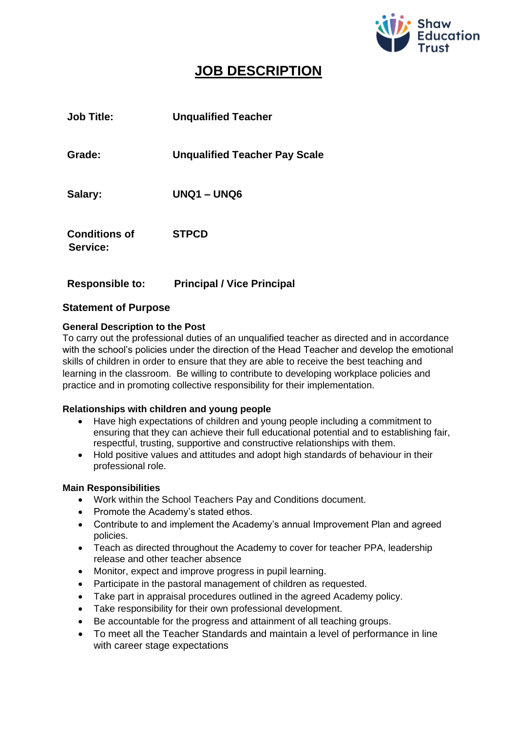

# **JOB DESCRIPTION**

| <b>Job Title:</b>                | <b>Unqualified Teacher</b>           |
|----------------------------------|--------------------------------------|
| Grade:                           | <b>Unqualified Teacher Pay Scale</b> |
| Salary:                          | <b>UNQ1 - UNQ6</b>                   |
| <b>Conditions of</b><br>Service: | <b>STPCD</b>                         |

# **Responsible to: Principal / Vice Principal**

# **Statement of Purpose**

# **General Description to the Post**

To carry out the professional duties of an unqualified teacher as directed and in accordance with the school's policies under the direction of the Head Teacher and develop the emotional skills of children in order to ensure that they are able to receive the best teaching and learning in the classroom. Be willing to contribute to developing workplace policies and practice and in promoting collective responsibility for their implementation.

# **Relationships with children and young people**

- Have high expectations of children and young people including a commitment to ensuring that they can achieve their full educational potential and to establishing fair, respectful, trusting, supportive and constructive relationships with them.
- Hold positive values and attitudes and adopt high standards of behaviour in their professional role.

#### **Main Responsibilities**

- Work within the School Teachers Pay and Conditions document.
- Promote the Academy's stated ethos.
- Contribute to and implement the Academy's annual Improvement Plan and agreed policies.
- Teach as directed throughout the Academy to cover for teacher PPA, leadership release and other teacher absence
- Monitor, expect and improve progress in pupil learning.
- Participate in the pastoral management of children as requested.
- Take part in appraisal procedures outlined in the agreed Academy policy.
- Take responsibility for their own professional development.
- Be accountable for the progress and attainment of all teaching groups.
- To meet all the Teacher Standards and maintain a level of performance in line with career stage expectations